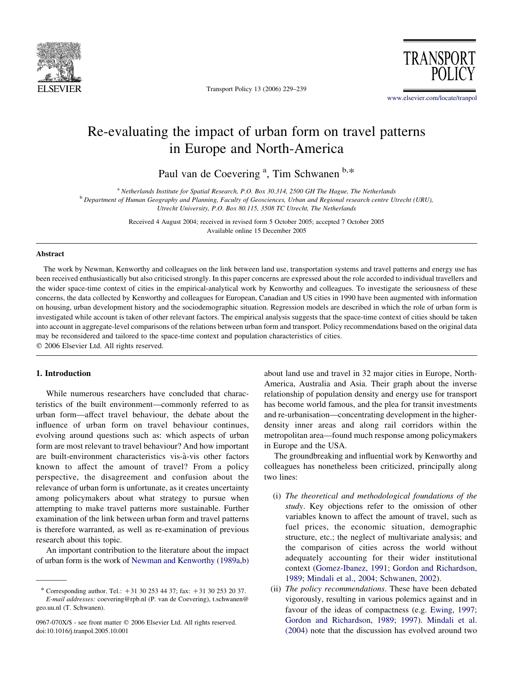

Transport Policy 13 (2006) 229–239

**TRANSPORT** 

[www.elsevier.com/locate/tranpol](http://www.elsevier.com/locate/tranpol)

# Re-evaluating the impact of urban form on travel patterns in Europe and North-America

Paul van de Coevering<sup>a</sup>, Tim Schwanen b,\*

<sup>a</sup> Netherlands Institute for Spatial Research, P.O. Box 30.314, 2500 GH The Hague, The Netherlands

<sup>b</sup> Department of Human Geography and Planning, Faculty of Geosciences, Urban and Regional research centre Utrecht (URU),

Utrecht University, P.O. Box 80.115, 3508 TC Utrecht, The Netherlands

Received 4 August 2004; received in revised form 5 October 2005; accepted 7 October 2005 Available online 15 December 2005

## Abstract

The work by Newman, Kenworthy and colleagues on the link between land use, transportation systems and travel patterns and energy use has been received enthusiastically but also criticised strongly. In this paper concerns are expressed about the role accorded to individual travellers and the wider space-time context of cities in the empirical-analytical work by Kenworthy and colleagues. To investigate the seriousness of these concerns, the data collected by Kenworthy and colleagues for European, Canadian and US cities in 1990 have been augmented with information on housing, urban development history and the sociodemographic situation. Regression models are described in which the role of urban form is investigated while account is taken of other relevant factors. The empirical analysis suggests that the space-time context of cities should be taken into account in aggregate-level comparisons of the relations between urban form and transport. Policy recommendations based on the original data may be reconsidered and tailored to the space-time context and population characteristics of cities.  $Q$  2006 Elsevier Ltd. All rights reserved.

## 1. Introduction

While numerous researchers have concluded that characteristics of the built environment—commonly referred to as urban form—affect travel behaviour, the debate about the influence of urban form on travel behaviour continues, evolving around questions such as: which aspects of urban form are most relevant to travel behaviour? And how important are built-environment characteristics vis-à-vis other factors known to affect the amount of travel? From a policy perspective, the disagreement and confusion about the relevance of urban form is unfortunate, as it creates uncertainty among policymakers about what strategy to pursue when attempting to make travel patterns more sustainable. Further examination of the link between urban form and travel patterns is therefore warranted, as well as re-examination of previous research about this topic.

An important contribution to the literature about the impact of urban form is the work of [Newman and Kenworthy \(1989a,b\)](#page-10-0) about land use and travel in 32 major cities in Europe, North-America, Australia and Asia. Their graph about the inverse relationship of population density and energy use for transport has become world famous, and the plea for transit investments and re-urbanisation—concentrating development in the higherdensity inner areas and along rail corridors within the metropolitan area—found much response among policymakers in Europe and the USA.

The groundbreaking and influential work by Kenworthy and colleagues has nonetheless been criticized, principally along two lines:

- (i) The theoretical and methodological foundations of the study. Key objections refer to the omission of other variables known to affect the amount of travel, such as fuel prices, the economic situation, demographic structure, etc.; the neglect of multivariate analysis; and the comparison of cities across the world without adequately accounting for their wider institutional context [\(Gomez-Ibanez, 1991; Gordon and Richardson,](#page-10-0) [1989; Mindali et al., 2004; Schwanen, 2002\)](#page-10-0).
- (ii) The policy recommendations. These have been debated vigorously, resulting in various polemics against and in favour of the ideas of compactness (e.g. [Ewing, 1997;](#page-10-0) [Gordon and Richardson, 1989; 1997\)](#page-10-0). [Mindali et al.](#page-10-0) [\(2004\)](#page-10-0) note that the discussion has evolved around two

<sup>\*</sup> Corresponding author. Tel.:  $+31$  30 253 44 37; fax:  $+31$  30 253 20 37. E-mail addresses: coevering@rpb.nl (P. van de Coevering), t.schwanen@ geo.uu.nl (T. Schwanen).

<sup>0967-070</sup>X/\$ - see front matter © 2006 Elsevier Ltd. All rights reserved. doi:10.1016/j.tranpol.2005.10.001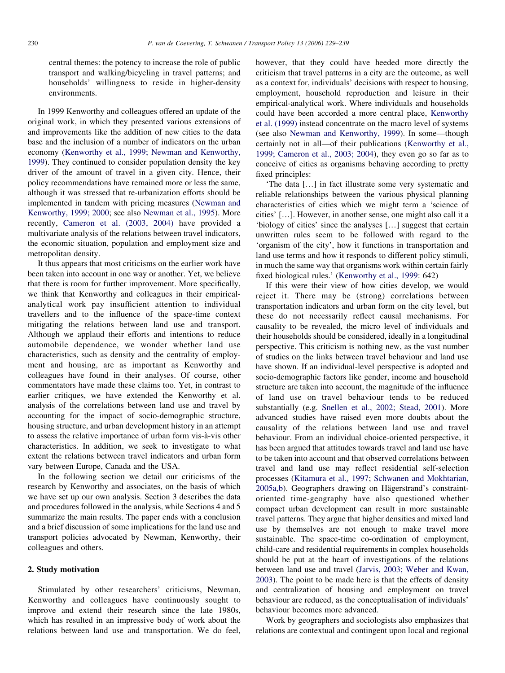central themes: the potency to increase the role of public transport and walking/bicycling in travel patterns; and households' willingness to reside in higher-density environments.

In 1999 Kenworthy and colleagues offered an update of the original work, in which they presented various extensions of and improvements like the addition of new cities to the data base and the inclusion of a number of indicators on the urban economy [\(Kenworthy et al., 1999; Newman and Kenworthy,](#page-10-0) [1999\)](#page-10-0). They continued to consider population density the key driver of the amount of travel in a given city. Hence, their policy recommendations have remained more or less the same, although it was stressed that re-urbanization efforts should be implemented in tandem with pricing measures ([Newman and](#page-10-0) [Kenworthy, 1999; 2000;](#page-10-0) see also [Newman et al., 1995](#page-10-0)). More recently, [Cameron et al. \(2003, 2004\)](#page-10-0) have provided a multivariate analysis of the relations between travel indicators, the economic situation, population and employment size and metropolitan density.

It thus appears that most criticisms on the earlier work have been taken into account in one way or another. Yet, we believe that there is room for further improvement. More specifically, we think that Kenworthy and colleagues in their empiricalanalytical work pay insufficient attention to individual travellers and to the influence of the space-time context mitigating the relations between land use and transport. Although we applaud their efforts and intentions to reduce automobile dependence, we wonder whether land use characteristics, such as density and the centrality of employment and housing, are as important as Kenworthy and colleagues have found in their analyses. Of course, other commentators have made these claims too. Yet, in contrast to earlier critiques, we have extended the Kenworthy et al. analysis of the correlations between land use and travel by accounting for the impact of socio-demographic structure, housing structure, and urban development history in an attempt to assess the relative importance of urban form vis-à-vis other characteristics. In addition, we seek to investigate to what extent the relations between travel indicators and urban form vary between Europe, Canada and the USA.

In the following section we detail our criticisms of the research by Kenworthy and associates, on the basis of which we have set up our own analysis. Section 3 describes the data and procedures followed in the analysis, while Sections 4 and 5 summarize the main results. The paper ends with a conclusion and a brief discussion of some implications for the land use and transport policies advocated by Newman, Kenworthy, their colleagues and others.

## 2. Study motivation

Stimulated by other researchers' criticisms, Newman, Kenworthy and colleagues have continuously sought to improve and extend their research since the late 1980s, which has resulted in an impressive body of work about the relations between land use and transportation. We do feel,

however, that they could have heeded more directly the criticism that travel patterns in a city are the outcome, as well as a context for, individuals' decisions with respect to housing, employment, household reproduction and leisure in their empirical-analytical work. Where individuals and households could have been accorded a more central place, [Kenworthy](#page-10-0) [et al. \(1999\)](#page-10-0) instead concentrate on the macro level of systems (see also [Newman and Kenworthy, 1999\)](#page-10-0). In some—though certainly not in all—of their publications [\(Kenworthy et al.,](#page-10-0) [1999; Cameron et al., 2003; 2004\)](#page-10-0), they even go so far as to conceive of cities as organisms behaving according to pretty fixed principles:

'The data [...] in fact illustrate some very systematic and reliable relationships between the various physical planning characteristics of cities which we might term a 'science of cities' [...]. However, in another sense, one might also call it a 'biology of cities' since the analyses [...] suggest that certain unwritten rules seem to be followed with regard to the 'organism of the city', how it functions in transportation and land use terms and how it responds to different policy stimuli, in much the same way that organisms work within certain fairly fixed biological rules.' [\(Kenworthy et al., 1999:](#page-10-0) 642)

If this were their view of how cities develop, we would reject it. There may be (strong) correlations between transportation indicators and urban form on the city level, but these do not necessarily reflect causal mechanisms. For causality to be revealed, the micro level of individuals and their households should be considered, ideally in a longitudinal perspective. This criticism is nothing new, as the vast number of studies on the links between travel behaviour and land use have shown. If an individual-level perspective is adopted and socio-demographic factors like gender, income and household structure are taken into account, the magnitude of the influence of land use on travel behaviour tends to be reduced substantially (e.g. [Snellen et al., 2002; Stead, 2001\)](#page-10-0). More advanced studies have raised even more doubts about the causality of the relations between land use and travel behaviour. From an individual choice-oriented perspective, it has been argued that attitudes towards travel and land use have to be taken into account and that observed correlations between travel and land use may reflect residential self-selection processes ([Kitamura et al., 1997;](#page-10-0) [Schwanen and Mokhtarian,](#page-10-0) [2005a,b\)](#page-10-0). Geographers drawing on Hägerstrand's constraintoriented time-geography have also questioned whether compact urban development can result in more sustainable travel patterns. They argue that higher densities and mixed land use by themselves are not enough to make travel more sustainable. The space-time co-ordination of employment, child-care and residential requirements in complex households should be put at the heart of investigations of the relations between land use and travel [\(Jarvis, 2003; Weber and Kwan,](#page-10-0) [2003\)](#page-10-0). The point to be made here is that the effects of density and centralization of housing and employment on travel behaviour are reduced, as the conceptualisation of individuals' behaviour becomes more advanced.

Work by geographers and sociologists also emphasizes that relations are contextual and contingent upon local and regional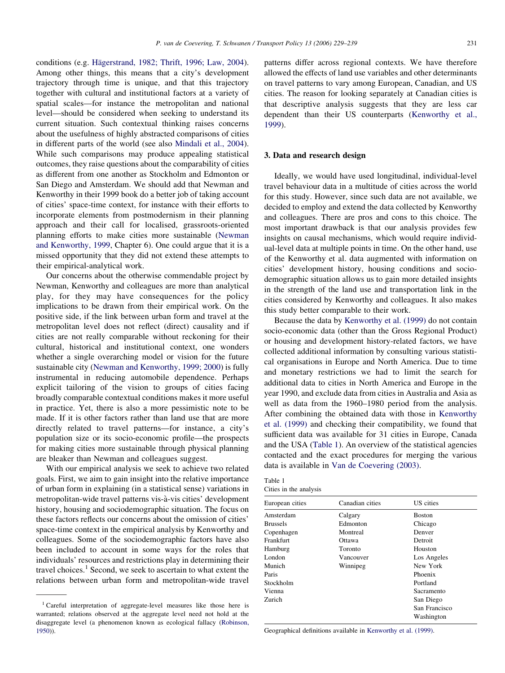<span id="page-2-0"></span>conditions (e.g. Hägerstrand, 1982; Thrift, 1996; Law, 2004). Among other things, this means that a city's development trajectory through time is unique, and that this trajectory together with cultural and institutional factors at a variety of spatial scales—for instance the metropolitan and national level—should be considered when seeking to understand its current situation. Such contextual thinking raises concerns about the usefulness of highly abstracted comparisons of cities in different parts of the world (see also [Mindali et al., 2004\)](#page-10-0). While such comparisons may produce appealing statistical outcomes, they raise questions about the comparability of cities as different from one another as Stockholm and Edmonton or San Diego and Amsterdam. We should add that Newman and Kenworthy in their 1999 book do a better job of taking account of cities' space-time context, for instance with their efforts to incorporate elements from postmodernism in their planning approach and their call for localised, grassroots-oriented planning efforts to make cities more sustainable [\(Newman](#page-10-0) [and Kenworthy, 1999](#page-10-0), Chapter 6). One could argue that it is a missed opportunity that they did not extend these attempts to their empirical-analytical work.

Our concerns about the otherwise commendable project by Newman, Kenworthy and colleagues are more than analytical play, for they may have consequences for the policy implications to be drawn from their empirical work. On the positive side, if the link between urban form and travel at the metropolitan level does not reflect (direct) causality and if cities are not really comparable without reckoning for their cultural, historical and institutional context, one wonders whether a single overarching model or vision for the future sustainable city [\(Newman and Kenworthy, 1999; 2000](#page-10-0)) is fully instrumental in reducing automobile dependence. Perhaps explicit tailoring of the vision to groups of cities facing broadly comparable contextual conditions makes it more useful in practice. Yet, there is also a more pessimistic note to be made. If it is other factors rather than land use that are more directly related to travel patterns—for instance, a city's population size or its socio-economic profile—the prospects for making cities more sustainable through physical planning are bleaker than Newman and colleagues suggest.

With our empirical analysis we seek to achieve two related goals. First, we aim to gain insight into the relative importance of urban form in explaining (in a statistical sense) variations in metropolitan-wide travel patterns vis-à-vis cities' development history, housing and sociodemographic situation. The focus on these factors reflects our concerns about the omission of cities' space-time context in the empirical analysis by Kenworthy and colleagues. Some of the sociodemographic factors have also been included to account in some ways for the roles that individuals' resources and restrictions play in determining their travel choices.<sup>1</sup> Second, we seek to ascertain to what extent the relations between urban form and metropolitan-wide travel

patterns differ across regional contexts. We have therefore allowed the effects of land use variables and other determinants on travel patterns to vary among European, Canadian, and US cities. The reason for looking separately at Canadian cities is that descriptive analysis suggests that they are less car dependent than their US counterparts [\(Kenworthy et al.,](#page-10-0) [1999](#page-10-0)).

#### 3. Data and research design

Ideally, we would have used longitudinal, individual-level travel behaviour data in a multitude of cities across the world for this study. However, since such data are not available, we decided to employ and extend the data collected by Kenworthy and colleagues. There are pros and cons to this choice. The most important drawback is that our analysis provides few insights on causal mechanisms, which would require individual-level data at multiple points in time. On the other hand, use of the Kenworthy et al. data augmented with information on cities' development history, housing conditions and sociodemographic situation allows us to gain more detailed insights in the strength of the land use and transportation link in the cities considered by Kenworthy and colleagues. It also makes this study better comparable to their work.

Because the data by [Kenworthy et al. \(1999\)](#page-10-0) do not contain socio-economic data (other than the Gross Regional Product) or housing and development history-related factors, we have collected additional information by consulting various statistical organisations in Europe and North America. Due to time and monetary restrictions we had to limit the search for additional data to cities in North America and Europe in the year 1990, and exclude data from cities in Australia and Asia as well as data from the 1960–1980 period from the analysis. After combining the obtained data with those in [Kenworthy](#page-10-0) [et al. \(1999\)](#page-10-0) and checking their compatibility, we found that sufficient data was available for 31 cities in Europe, Canada and the USA (Table 1). An overview of the statistical agencies contacted and the exact procedures for merging the various data is available in [Van de Coevering \(2003\)](#page-10-0).

| Table 1 |  |                        |
|---------|--|------------------------|
|         |  | Cities in the analysis |

| European cities  | Canadian cities | US cities     |
|------------------|-----------------|---------------|
| Amsterdam        | Calgary         | <b>Boston</b> |
| <b>Brussels</b>  | Edmonton        | Chicago       |
| Copenhagen       | Montreal        | Denver        |
| <b>Frankfurt</b> | Ottawa          | Detroit       |
| Hamburg          | Toronto         | Houston       |
| London           | Vancouver       | Los Angeles   |
| Munich           | Winnipeg        | New York      |
| Paris            |                 | Phoenix       |
| Stockholm        |                 | Portland      |
| Vienna           |                 | Sacramento    |
| Zurich           |                 | San Diego     |
|                  |                 | San Francisco |
|                  |                 | Washington    |

Geographical definitions available in [Kenworthy et al. \(1999\)](#page-10-0).

<sup>&</sup>lt;sup>1</sup> Careful interpretation of aggregate-level measures like those here is warranted; relations observed at the aggregate level need not hold at the disaggregate level (a phenomenon known as ecological fallacy [\(Robinson,](#page-10-0) [1950](#page-10-0))).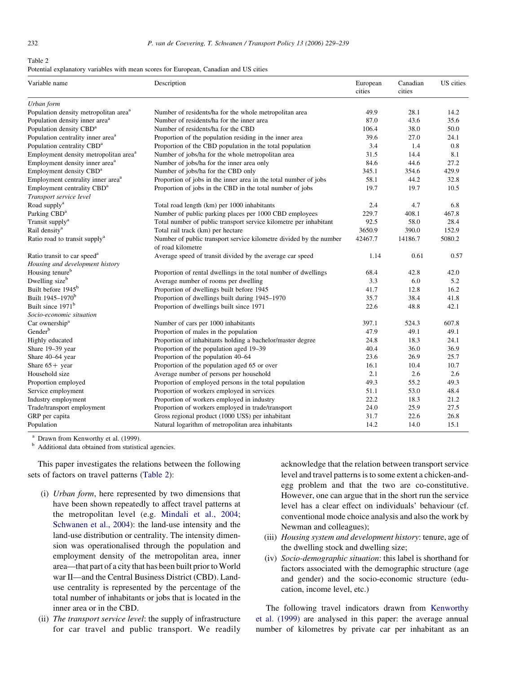<span id="page-3-0"></span>

Table 2

| Potential explanatory variables with mean scores for European, Canadian and US cities |  |  |  |  |  |  |
|---------------------------------------------------------------------------------------|--|--|--|--|--|--|
|---------------------------------------------------------------------------------------|--|--|--|--|--|--|

| Variable name                                     | Description                                                                             | European<br>cities | Canadian<br>cities | US cities |
|---------------------------------------------------|-----------------------------------------------------------------------------------------|--------------------|--------------------|-----------|
| Urban form                                        |                                                                                         |                    |                    |           |
| Population density metropolitan area <sup>a</sup> | Number of residents/ha for the whole metropolitan area                                  | 49.9               | 28.1               | 14.2      |
| Population density inner area <sup>a</sup>        | Number of residents/ha for the inner area                                               | 87.0               | 43.6               | 35.6      |
| Population density CBD <sup>a</sup>               | Number of residents/ha for the CBD                                                      | 106.4              | 38.0               | 50.0      |
| Population centrality inner area <sup>a</sup>     | Proportion of the population residing in the inner area                                 | 39.6               | 27.0               | 24.1      |
| Population centrality CBD <sup>a</sup>            | Proportion of the CBD population in the total population                                | 3.4                | 1.4                | 0.8       |
| Employment density metropolitan area <sup>a</sup> | Number of jobs/ha for the whole metropolitan area                                       | 31.5               | 14.4               | 8.1       |
| Employment density inner area <sup>a</sup>        | Number of jobs/ha for the inner area only                                               | 84.6               | 44.6               | 27.2      |
| Employment density CBD <sup>a</sup>               | Number of jobs/ha for the CBD only                                                      | 345.1              | 354.6              | 429.9     |
| Employment centrality inner area <sup>a</sup>     | Proportion of jobs in the inner area in the total number of jobs                        | 58.1               | 44.2               | 32.8      |
| Employment centrality CBD <sup>a</sup>            | Proportion of jobs in the CBD in the total number of jobs                               | 19.7               | 19.7               | 10.5      |
| Transport service level                           |                                                                                         |                    |                    |           |
| Road supply <sup>a</sup>                          | Total road length (km) per 1000 inhabitants                                             | 2.4                | 4.7                | 6.8       |
| Parking CBD <sup>a</sup>                          | Number of public parking places per 1000 CBD employees                                  | 229.7              | 408.1              | 467.8     |
| Transit supply <sup>a</sup>                       | Total number of public transport service kilometre per inhabitant                       | 92.5               | 58.0               | 28.4      |
| Rail density <sup>a</sup>                         | Total rail track (km) per hectare                                                       | 3650.9             | 390.0              | 152.9     |
| Ratio road to transit supply <sup>a</sup>         | Number of public transport service kilometre divided by the number<br>of road kilometre | 42467.7            | 14186.7            | 5080.2    |
| Ratio transit to car speed <sup>a</sup>           | Average speed of transit divided by the average car speed                               | 1.14               | 0.61               | 0.57      |
| Housing and development history                   |                                                                                         |                    |                    |           |
| Housing tenure <sup>b</sup>                       | Proportion of rental dwellings in the total number of dwellings                         | 68.4               | 42.8               | 42.0      |
| Dwelling size <sup>b</sup>                        | Average number of rooms per dwelling                                                    | 3.3                | 6.0                | 5.2       |
| Built before 1945 <sup>b</sup>                    | Proportion of dwellings built before 1945                                               | 41.7               | 12.8               | 16.2      |
| Built 1945-1970 <sup>b</sup>                      | Proportion of dwellings built during 1945–1970                                          | 35.7               | 38.4               | 41.8      |
| Built since 1971 <sup>b</sup>                     | Proportion of dwellings built since 1971                                                | 22.6               | 48.8               | 42.1      |
| Socio-economic situation                          |                                                                                         |                    |                    |           |
| Car ownership <sup>a</sup>                        | Number of cars per 1000 inhabitants                                                     | 397.1              | 524.3              | 607.8     |
| Gender <sup>b</sup>                               | Proportion of males in the population                                                   | 47.9               | 49.1               | 49.1      |
| Highly educated                                   | Proportion of inhabitants holding a bachelor/master degree                              | 24.8               | 18.3               | 24.1      |
| Share 19-39 year                                  | Proportion of the population aged 19-39                                                 | 40.4               | 36.0               | 36.9      |
| Share 40-64 year                                  | Proportion of the population 40–64                                                      | 23.6               | 26.9               | 25.7      |
| Share $65 +$ year                                 | Proportion of the population aged 65 or over                                            | 16.1               | 10.4               | 10.7      |
| Household size                                    | Average number of persons per household                                                 | 2.1                | 2.6                | 2.6       |
| Proportion employed                               | Proportion of employed persons in the total population                                  | 49.3               | 55.2               | 49.3      |
| Service employment                                | Proportion of workers employed in services                                              | 51.1               | 53.0               | 48.4      |
| Industry employment                               | Proportion of workers employed in industry                                              | 22.2               | 18.3               | 21.2      |
| Trade/transport employment                        | Proportion of workers employed in trade/transport                                       | 24.0               | 25.9               | 27.5      |
| GRP per capita                                    | Gross regional product (1000 US\$) per inhabitant                                       | 31.7               | 22.6               | 26.8      |
| Population                                        | Natural logarithm of metropolitan area inhabitants                                      | 14.2               | 14.0               | 15.1      |

<sup>a</sup> Drawn from Kenworthy et al. (1999).<br><sup>b</sup> Additional data obtained from statistical agencies.

This paper investigates the relations between the following sets of factors on travel patterns (Table 2):

- (i) Urban form, here represented by two dimensions that have been shown repeatedly to affect travel patterns at the metropolitan level (e.g. [Mindali et al., 2004;](#page-10-0) [Schwanen et al., 2004](#page-10-0)): the land-use intensity and the land-use distribution or centrality. The intensity dimension was operationalised through the population and employment density of the metropolitan area, inner area—that part of a city that has been built prior to World war II—and the Central Business District (CBD). Landuse centrality is represented by the percentage of the total number of inhabitants or jobs that is located in the inner area or in the CBD.
- (ii) The transport service level: the supply of infrastructure for car travel and public transport. We readily

acknowledge that the relation between transport service level and travel patterns is to some extent a chicken-andegg problem and that the two are co-constitutive. However, one can argue that in the short run the service level has a clear effect on individuals' behaviour (cf. conventional mode choice analysis and also the work by Newman and colleagues);

- (iii) Housing system and development history: tenure, age of the dwelling stock and dwelling size;
- (iv) Socio-demographic situation: this label is shorthand for factors associated with the demographic structure (age and gender) and the socio-economic structure (education, income level, etc.)

The following travel indicators drawn from [Kenworthy](#page-10-0) [et al. \(1999\)](#page-10-0) are analysed in this paper: the average annual number of kilometres by private car per inhabitant as an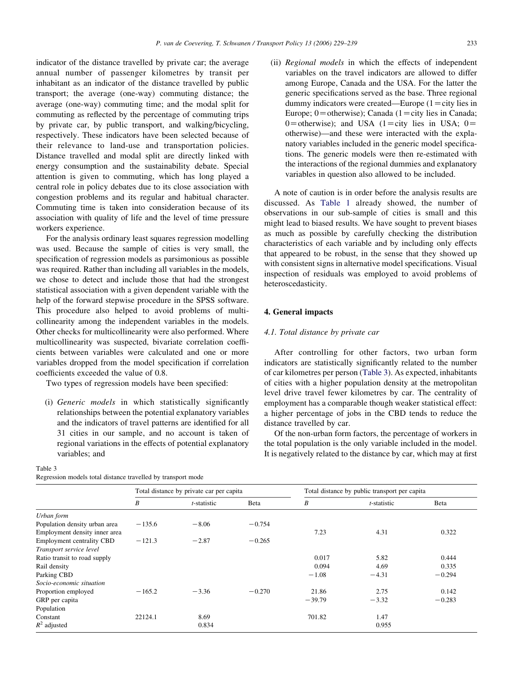<span id="page-4-0"></span>indicator of the distance travelled by private car; the average annual number of passenger kilometres by transit per inhabitant as an indicator of the distance travelled by public transport; the average (one-way) commuting distance; the average (one-way) commuting time; and the modal split for commuting as reflected by the percentage of commuting trips by private car, by public transport, and walking/bicycling, respectively. These indicators have been selected because of their relevance to land-use and transportation policies. Distance travelled and modal split are directly linked with energy consumption and the sustainability debate. Special attention is given to commuting, which has long played a central role in policy debates due to its close association with congestion problems and its regular and habitual character. Commuting time is taken into consideration because of its association with quality of life and the level of time pressure workers experience.

For the analysis ordinary least squares regression modelling was used. Because the sample of cities is very small, the specification of regression models as parsimonious as possible was required. Rather than including all variables in the models, we chose to detect and include those that had the strongest statistical association with a given dependent variable with the help of the forward stepwise procedure in the SPSS software. This procedure also helped to avoid problems of multicollinearity among the independent variables in the models. Other checks for multicollinearity were also performed. Where multicollinearity was suspected, bivariate correlation coefficients between variables were calculated and one or more variables dropped from the model specification if correlation coefficients exceeded the value of 0.8.

Two types of regression models have been specified:

(i) Generic models in which statistically significantly relationships between the potential explanatory variables and the indicators of travel patterns are identified for all 31 cities in our sample, and no account is taken of regional variations in the effects of potential explanatory variables; and

Table 3 Regression models total distance travelled by transport mode (ii) Regional models in which the effects of independent variables on the travel indicators are allowed to differ among Europe, Canada and the USA. For the latter the generic specifications served as the base. Three regional dummy indicators were created—Europe  $(1 = \text{city}$  lies in Europe;  $0$  = otherwise); Canada (1 = city lies in Canada; 0= otherwise); and USA (1= city lies in USA; 0= otherwise)—and these were interacted with the explanatory variables included in the generic model specifications. The generic models were then re-estimated with the interactions of the regional dummies and explanatory variables in question also allowed to be included.

A note of caution is in order before the analysis results are discussed. As [Table 1](#page-2-0) already showed, the number of observations in our sub-sample of cities is small and this might lead to biased results. We have sought to prevent biases as much as possible by carefully checking the distribution characteristics of each variable and by including only effects that appeared to be robust, in the sense that they showed up with consistent signs in alternative model specifications. Visual inspection of residuals was employed to avoid problems of heteroscedasticity.

# 4. General impacts

#### 4.1. Total distance by private car

After controlling for other factors, two urban form indicators are statistically significantly related to the number of car kilometres per person (Table 3). As expected, inhabitants of cities with a higher population density at the metropolitan level drive travel fewer kilometres by car. The centrality of employment has a comparable though weaker statistical effect: a higher percentage of jobs in the CBD tends to reduce the distance travelled by car.

Of the non-urban form factors, the percentage of workers in the total population is the only variable included in the model. It is negatively related to the distance by car, which may at first

|                               | Total distance by private car per capita |             |          | Total distance by public transport per capita |                     |          |
|-------------------------------|------------------------------------------|-------------|----------|-----------------------------------------------|---------------------|----------|
|                               | B                                        | t-statistic | Beta     | B                                             | <i>t</i> -statistic | Beta     |
| Urban form                    |                                          |             |          |                                               |                     |          |
| Population density urban area | $-135.6$                                 | $-8.06$     | $-0.754$ |                                               |                     |          |
| Employment density inner area |                                          |             |          | 7.23                                          | 4.31                | 0.322    |
| Employment centrality CBD     | $-121.3$                                 | $-2.87$     | $-0.265$ |                                               |                     |          |
| Transport service level       |                                          |             |          |                                               |                     |          |
| Ratio transit to road supply  |                                          |             |          | 0.017                                         | 5.82                | 0.444    |
| Rail density                  |                                          |             |          | 0.094                                         | 4.69                | 0.335    |
| Parking CBD                   |                                          |             |          | $-1.08$                                       | $-4.31$             | $-0.294$ |
| Socio-economic situation      |                                          |             |          |                                               |                     |          |
| Proportion employed           | $-165.2$                                 | $-3.36$     | $-0.270$ | 21.86                                         | 2.75                | 0.142    |
| GRP per capita                |                                          |             |          | $-39.79$                                      | $-3.32$             | $-0.283$ |
| Population                    |                                          |             |          |                                               |                     |          |
| Constant                      | 22124.1                                  | 8.69        |          | 701.82                                        | 1.47                |          |
| $R^2$ adjusted                |                                          | 0.834       |          |                                               | 0.955               |          |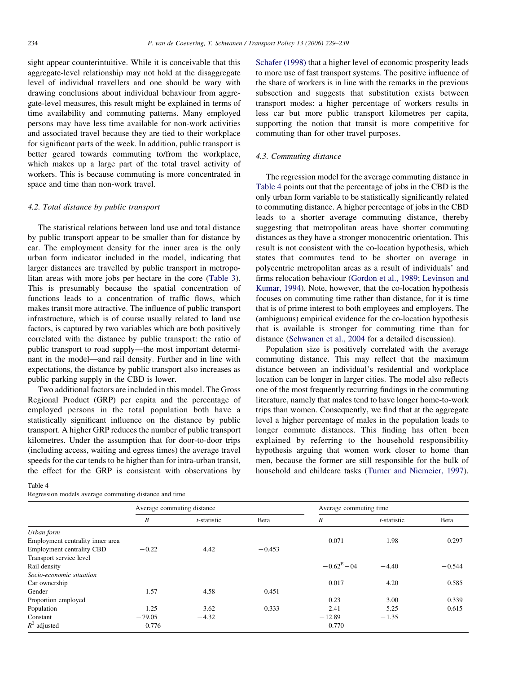<span id="page-5-0"></span>sight appear counterintuitive. While it is conceivable that this aggregate-level relationship may not hold at the disaggregate level of individual travellers and one should be wary with drawing conclusions about individual behaviour from aggregate-level measures, this result might be explained in terms of time availability and commuting patterns. Many employed persons may have less time available for non-work activities and associated travel because they are tied to their workplace for significant parts of the week. In addition, public transport is better geared towards commuting to/from the workplace, which makes up a large part of the total travel activity of workers. This is because commuting is more concentrated in space and time than non-work travel.

## 4.2. Total distance by public transport

The statistical relations between land use and total distance by public transport appear to be smaller than for distance by car. The employment density for the inner area is the only urban form indicator included in the model, indicating that larger distances are travelled by public transport in metropolitan areas with more jobs per hectare in the core [\(Table 3\)](#page-4-0). This is presumably because the spatial concentration of functions leads to a concentration of traffic flows, which makes transit more attractive. The influence of public transport infrastructure, which is of course usually related to land use factors, is captured by two variables which are both positively correlated with the distance by public transport: the ratio of public transport to road supply—the most important determinant in the model—and rail density. Further and in line with expectations, the distance by public transport also increases as public parking supply in the CBD is lower.

Two additional factors are included in this model. The Gross Regional Product (GRP) per capita and the percentage of employed persons in the total population both have a statistically significant influence on the distance by public transport. A higher GRP reduces the number of public transport kilometres. Under the assumption that for door-to-door trips (including access, waiting and egress times) the average travel speeds for the car tends to be higher than for intra-urban transit, the effect for the GRP is consistent with observations by

#### Table 4

Regression models average commuting distance and time

[Schafer \(1998\)](#page-10-0) that a higher level of economic prosperity leads to more use of fast transport systems. The positive influence of the share of workers is in line with the remarks in the previous subsection and suggests that substitution exists between transport modes: a higher percentage of workers results in less car but more public transport kilometres per capita, supporting the notion that transit is more competitive for commuting than for other travel purposes.

#### 4.3. Commuting distance

The regression model for the average commuting distance in Table 4 points out that the percentage of jobs in the CBD is the only urban form variable to be statistically significantly related to commuting distance. A higher percentage of jobs in the CBD leads to a shorter average commuting distance, thereby suggesting that metropolitan areas have shorter commuting distances as they have a stronger monocentric orientation. This result is not consistent with the co-location hypothesis, which states that commutes tend to be shorter on average in polycentric metropolitan areas as a result of individuals' and firms relocation behaviour [\(Gordon et al., 1989; Levinson and](#page-10-0) [Kumar, 1994\)](#page-10-0). Note, however, that the co-location hypothesis focuses on commuting time rather than distance, for it is time that is of prime interest to both employees and employers. The (ambiguous) empirical evidence for the co-location hypothesis that is available is stronger for commuting time than for distance ([Schwanen et al., 2004](#page-10-0) for a detailed discussion).

Population size is positively correlated with the average commuting distance. This may reflect that the maximum distance between an individual's residential and workplace location can be longer in larger cities. The model also reflects one of the most frequently recurring findings in the commuting literature, namely that males tend to have longer home-to-work trips than women. Consequently, we find that at the aggregate level a higher percentage of males in the population leads to longer commute distances. This finding has often been explained by referring to the household responsibility hypothesis arguing that women work closer to home than men, because the former are still responsible for the bulk of household and childcare tasks [\(Turner and Niemeier, 1997\)](#page-10-0).

|                                  | Average commuting distance |             |          | Average commuting time |             |          |
|----------------------------------|----------------------------|-------------|----------|------------------------|-------------|----------|
|                                  | B                          | t-statistic | Beta     | B                      | t-statistic | Beta     |
| Urban form                       |                            |             |          |                        |             |          |
| Employment centrality inner area |                            |             |          | 0.071                  | 1.98        | 0.297    |
| <b>Employment centrality CBD</b> | $-0.22$                    | 4.42        | $-0.453$ |                        |             |          |
| Transport service level          |                            |             |          |                        |             |          |
| Rail density                     |                            |             |          | $-0.62^{E}-04$         | $-4.40$     | $-0.544$ |
| Socio-economic situation         |                            |             |          |                        |             |          |
| Car ownership                    |                            |             |          | $-0.017$               | $-4.20$     | $-0.585$ |
| Gender                           | 1.57                       | 4.58        | 0.451    |                        |             |          |
| Proportion employed              |                            |             |          | 0.23                   | 3.00        | 0.339    |
| Population                       | 1.25                       | 3.62        | 0.333    | 2.41                   | 5.25        | 0.615    |
| Constant                         | $-79.05$                   | $-4.32$     |          | $-12.89$               | $-1.35$     |          |
| $R^2$ adjusted                   | 0.776                      |             |          | 0.770                  |             |          |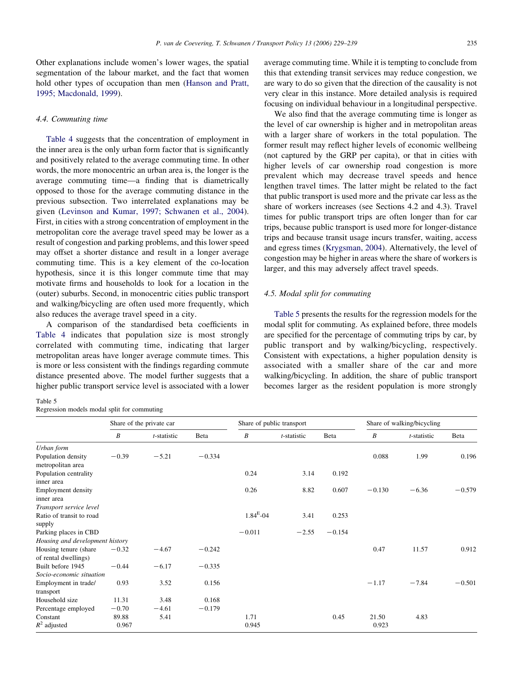Other explanations include women's lower wages, the spatial segmentation of the labour market, and the fact that women hold other types of occupation than men [\(Hanson and Pratt,](#page-10-0) [1995; Macdonald, 1999\)](#page-10-0).

#### 4.4. Commuting time

[Table 4](#page-5-0) suggests that the concentration of employment in the inner area is the only urban form factor that is significantly and positively related to the average commuting time. In other words, the more monocentric an urban area is, the longer is the average commuting time—a finding that is diametrically opposed to those for the average commuting distance in the previous subsection. Two interrelated explanations may be given [\(Levinson and Kumar, 1997; Schwanen et al., 2004\)](#page-10-0). First, in cities with a strong concentration of employment in the metropolitan core the average travel speed may be lower as a result of congestion and parking problems, and this lower speed may offset a shorter distance and result in a longer average commuting time. This is a key element of the co-location hypothesis, since it is this longer commute time that may motivate firms and households to look for a location in the (outer) suburbs. Second, in monocentric cities public transport and walking/bicycling are often used more frequently, which also reduces the average travel speed in a city.

A comparison of the standardised beta coefficients in [Table 4](#page-5-0) indicates that population size is most strongly correlated with commuting time, indicating that larger metropolitan areas have longer average commute times. This is more or less consistent with the findings regarding commute distance presented above. The model further suggests that a higher public transport service level is associated with a lower

| Table |  |
|-------|--|
|       |  |

Regression models modal split for commuting

average commuting time. While it is tempting to conclude from this that extending transit services may reduce congestion, we are wary to do so given that the direction of the causality is not very clear in this instance. More detailed analysis is required focusing on individual behaviour in a longitudinal perspective.

We also find that the average commuting time is longer as the level of car ownership is higher and in metropolitan areas with a larger share of workers in the total population. The former result may reflect higher levels of economic wellbeing (not captured by the GRP per capita), or that in cities with higher levels of car ownership road congestion is more prevalent which may decrease travel speeds and hence lengthen travel times. The latter might be related to the fact that public transport is used more and the private car less as the share of workers increases (see Sections 4.2 and 4.3). Travel times for public transport trips are often longer than for car trips, because public transport is used more for longer-distance trips and because transit usage incurs transfer, waiting, access and egress times ([Krygsman, 2004\)](#page-10-0). Alternatively, the level of congestion may be higher in areas where the share of workers is larger, and this may adversely affect travel speeds.

#### 4.5. Modal split for commuting

Table 5 presents the results for the regression models for the modal split for commuting. As explained before, three models are specified for the percentage of commuting trips by car, by public transport and by walking/bicycling, respectively. Consistent with expectations, a higher population density is associated with a smaller share of the car and more walking/bicycling. In addition, the share of public transport becomes larger as the resident population is more strongly

|                                                | Share of the private car |             | Share of public transport |                 |             | Share of walking/bicycling |          |             |          |
|------------------------------------------------|--------------------------|-------------|---------------------------|-----------------|-------------|----------------------------|----------|-------------|----------|
|                                                | $\boldsymbol{B}$         | t-statistic | <b>B</b> eta              | B               | t-statistic | Beta                       | B        | t-statistic | Beta     |
| Urban form                                     |                          |             |                           |                 |             |                            |          |             |          |
| Population density<br>metropolitan area        | $-0.39$                  | $-5.21$     | $-0.334$                  |                 |             |                            | 0.088    | 1.99        | 0.196    |
| Population centrality<br>inner area            |                          |             |                           | 0.24            | 3.14        | 0.192                      |          |             |          |
| <b>Employment density</b><br>inner area        |                          |             |                           | 0.26            | 8.82        | 0.607                      | $-0.130$ | $-6.36$     | $-0.579$ |
| Transport service level                        |                          |             |                           |                 |             |                            |          |             |          |
| Ratio of transit to road<br>supply             |                          |             |                           | $1.84^{E} - 04$ | 3.41        | 0.253                      |          |             |          |
| Parking places in CBD                          |                          |             |                           | $-0.011$        | $-2.55$     | $-0.154$                   |          |             |          |
| Housing and development history                |                          |             |                           |                 |             |                            |          |             |          |
| Housing tenure (share)<br>of rental dwellings) | $-0.32$                  | $-4.67$     | $-0.242$                  |                 |             |                            | 0.47     | 11.57       | 0.912    |
| Built before 1945                              | $-0.44$                  | $-6.17$     | $-0.335$                  |                 |             |                            |          |             |          |
| Socio-economic situation                       |                          |             |                           |                 |             |                            |          |             |          |
| Employment in trade/<br>transport              | 0.93                     | 3.52        | 0.156                     |                 |             |                            | $-1.17$  | $-7.84$     | $-0.501$ |
| Household size                                 | 11.31                    | 3.48        | 0.168                     |                 |             |                            |          |             |          |
| Percentage employed                            | $-0.70$                  | $-4.61$     | $-0.179$                  |                 |             |                            |          |             |          |
| Constant                                       | 89.88                    | 5.41        |                           | 1.71            |             | 0.45                       | 21.50    | 4.83        |          |
| $R^2$ adjusted                                 | 0.967                    |             |                           | 0.945           |             |                            | 0.923    |             |          |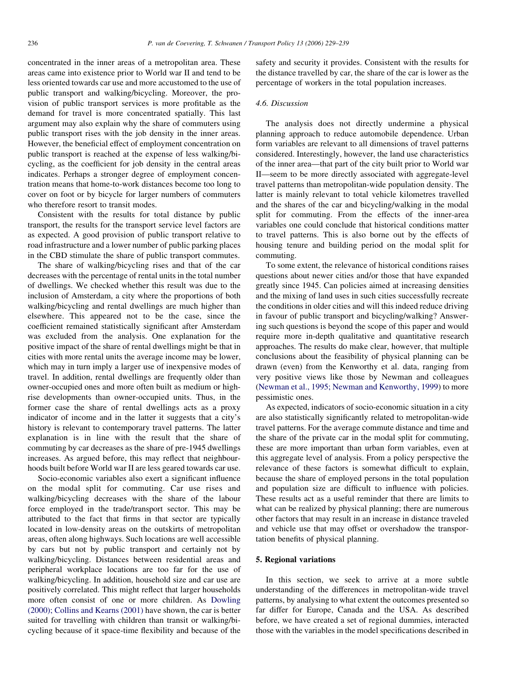concentrated in the inner areas of a metropolitan area. These areas came into existence prior to World war II and tend to be less oriented towards car use and more accustomed to the use of public transport and walking/bicycling. Moreover, the provision of public transport services is more profitable as the demand for travel is more concentrated spatially. This last argument may also explain why the share of commuters using public transport rises with the job density in the inner areas. However, the beneficial effect of employment concentration on public transport is reached at the expense of less walking/bicycling, as the coefficient for job density in the central areas indicates. Perhaps a stronger degree of employment concentration means that home-to-work distances become too long to cover on foot or by bicycle for larger numbers of commuters who therefore resort to transit modes.

Consistent with the results for total distance by public transport, the results for the transport service level factors are as expected. A good provision of public transport relative to road infrastructure and a lower number of public parking places in the CBD stimulate the share of public transport commutes.

The share of walking/bicycling rises and that of the car decreases with the percentage of rental units in the total number of dwellings. We checked whether this result was due to the inclusion of Amsterdam, a city where the proportions of both walking/bicycling and rental dwellings are much higher than elsewhere. This appeared not to be the case, since the coefficient remained statistically significant after Amsterdam was excluded from the analysis. One explanation for the positive impact of the share of rental dwellings might be that in cities with more rental units the average income may be lower, which may in turn imply a larger use of inexpensive modes of travel. In addition, rental dwellings are frequently older than owner-occupied ones and more often built as medium or highrise developments than owner-occupied units. Thus, in the former case the share of rental dwellings acts as a proxy indicator of income and in the latter it suggests that a city's history is relevant to contemporary travel patterns. The latter explanation is in line with the result that the share of commuting by car decreases as the share of pre-1945 dwellings increases. As argued before, this may reflect that neighbourhoods built before World war II are less geared towards car use.

Socio-economic variables also exert a significant influence on the modal split for commuting. Car use rises and walking/bicycling decreases with the share of the labour force employed in the trade/transport sector. This may be attributed to the fact that firms in that sector are typically located in low-density areas on the outskirts of metropolitan areas, often along highways. Such locations are well accessible by cars but not by public transport and certainly not by walking/bicycling. Distances between residential areas and peripheral workplace locations are too far for the use of walking/bicycling. In addition, household size and car use are positively correlated. This might reflect that larger households more often consist of one or more children. As [Dowling](#page-10-0) [\(2000\); Collins and Kearns \(2001\)](#page-10-0) have shown, the car is better suited for travelling with children than transit or walking/bicycling because of it space-time flexibility and because of the

safety and security it provides. Consistent with the results for the distance travelled by car, the share of the car is lower as the percentage of workers in the total population increases.

#### 4.6. Discussion

The analysis does not directly undermine a physical planning approach to reduce automobile dependence. Urban form variables are relevant to all dimensions of travel patterns considered. Interestingly, however, the land use characteristics of the inner area—that part of the city built prior to World war II—seem to be more directly associated with aggregate-level travel patterns than metropolitan-wide population density. The latter is mainly relevant to total vehicle kilometres travelled and the shares of the car and bicycling/walking in the modal split for commuting. From the effects of the inner-area variables one could conclude that historical conditions matter to travel patterns. This is also borne out by the effects of housing tenure and building period on the modal split for commuting.

To some extent, the relevance of historical conditions raises questions about newer cities and/or those that have expanded greatly since 1945. Can policies aimed at increasing densities and the mixing of land uses in such cities successfully recreate the conditions in older cities and will this indeed reduce driving in favour of public transport and bicycling/walking? Answering such questions is beyond the scope of this paper and would require more in-depth qualitative and quantitative research approaches. The results do make clear, however, that multiple conclusions about the feasibility of physical planning can be drawn (even) from the Kenworthy et al. data, ranging from very positive views like those by Newman and colleagues [\(Newman et al., 1995; Newman and Kenworthy, 1999\)](#page-10-0) to more pessimistic ones.

As expected, indicators of socio-economic situation in a city are also statistically significantly related to metropolitan-wide travel patterns. For the average commute distance and time and the share of the private car in the modal split for commuting, these are more important than urban form variables, even at this aggregate level of analysis. From a policy perspective the relevance of these factors is somewhat difficult to explain, because the share of employed persons in the total population and population size are difficult to influence with policies. These results act as a useful reminder that there are limits to what can be realized by physical planning; there are numerous other factors that may result in an increase in distance traveled and vehicle use that may offset or overshadow the transportation benefits of physical planning.

# 5. Regional variations

In this section, we seek to arrive at a more subtle understanding of the differences in metropolitan-wide travel patterns, by analysing to what extent the outcomes presented so far differ for Europe, Canada and the USA. As described before, we have created a set of regional dummies, interacted those with the variables in the model specifications described in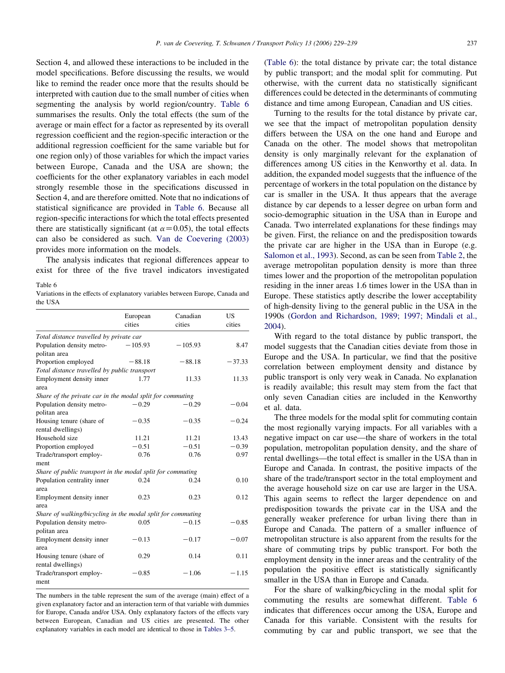Section 4, and allowed these interactions to be included in the model specifications. Before discussing the results, we would like to remind the reader once more that the results should be interpreted with caution due to the small number of cities when segmenting the analysis by world region/country. Table 6 summarises the results. Only the total effects (the sum of the average or main effect for a factor as represented by its overall regression coefficient and the region-specific interaction or the additional regression coefficient for the same variable but for one region only) of those variables for which the impact varies between Europe, Canada and the USA are shown; the coefficients for the other explanatory variables in each model strongly resemble those in the specifications discussed in Section 4, and are therefore omitted. Note that no indications of statistical significance are provided in Table 6. Because all region-specific interactions for which the total effects presented there are statistically significant (at  $\alpha$  = 0.05), the total effects can also be considered as such. [Van de Coevering \(2003\)](#page-10-0) provides more information on the models.

The analysis indicates that regional differences appear to exist for three of the five travel indicators investigated

#### Table 6

Variations in the effects of explanatory variables between Europe, Canada and the USA

|                                                             | European<br>cities | Canadian<br>cities | US.<br>cities |
|-------------------------------------------------------------|--------------------|--------------------|---------------|
| Total distance travelled by private car                     |                    |                    |               |
| Population density metro-                                   | $-105.93$          | $-105.93$          | 8.47          |
| politan area                                                |                    |                    |               |
| Proportion employed                                         | $-88.18$           | $-88.18$           | $-37.33$      |
| Total distance travelled by public transport                |                    |                    |               |
| Employment density inner                                    | 1.77               | 11.33              | 11.33         |
| area                                                        |                    |                    |               |
| Share of the private car in the modal split for commuting   |                    |                    |               |
| Population density metro-                                   | $-0.29$            | $-0.29$            | $-0.04$       |
| politan area                                                |                    |                    |               |
| Housing tenure (share of                                    | $-0.35$            | $-0.35$            | $-0.24$       |
| rental dwellings)                                           |                    |                    |               |
| Household size                                              | 11.21              | 11.21              | 13.43         |
| Proportion employed                                         | $-0.51$            | $-0.51$            | $-0.39$       |
| Trade/transport employ-                                     | 0.76               | 0.76               | 0.97          |
| ment                                                        |                    |                    |               |
| Share of public transport in the modal split for commuting  |                    |                    |               |
| Population centrality inner                                 | 0.24               | 0.24               | 0.10          |
| area                                                        |                    |                    |               |
| Employment density inner                                    | 0.23               | 0.23               | 0.12          |
| area                                                        |                    |                    |               |
| Share of walking/bicycling in the modal split for commuting |                    |                    |               |
| Population density metro-                                   | 0.05               | $-0.15$            | $-0.85$       |
| politan area                                                |                    |                    |               |
| Employment density inner                                    | $-0.13$            | $-0.17$            | $-0.07$       |
| area                                                        |                    |                    |               |
| Housing tenure (share of                                    | 0.29               | 0.14               | 0.11          |
| rental dwellings)                                           |                    |                    |               |
| Trade/transport employ-                                     | $-0.85$            | $-1.06$            | $-1.15$       |
| ment                                                        |                    |                    |               |
|                                                             |                    |                    |               |

The numbers in the table represent the sum of the average (main) effect of a given explanatory factor and an interaction term of that variable with dummies for Europe, Canada and/or USA. Only explanatory factors of the effects vary between European, Canadian and US cities are presented. The other explanatory variables in each model are identical to those in [Tables 3–5.](#page-4-0)

(Table 6): the total distance by private car; the total distance by public transport; and the modal split for commuting. Put otherwise, with the current data no statistically significant differences could be detected in the determinants of commuting distance and time among European, Canadian and US cities.

Turning to the results for the total distance by private car, we see that the impact of metropolitan population density differs between the USA on the one hand and Europe and Canada on the other. The model shows that metropolitan density is only marginally relevant for the explanation of differences among US cities in the Kenworthy et al. data. In addition, the expanded model suggests that the influence of the percentage of workers in the total population on the distance by car is smaller in the USA. It thus appears that the average distance by car depends to a lesser degree on urban form and socio-demographic situation in the USA than in Europe and Canada. Two interrelated explanations for these findings may be given. First, the reliance on and the predisposition towards the private car are higher in the USA than in Europe (e.g. [Salomon et al., 1993](#page-10-0)). Second, as can be seen from [Table 2,](#page-3-0) the average metropolitan population density is more than three times lower and the proportion of the metropolitan population residing in the inner areas 1.6 times lower in the USA than in Europe. These statistics aptly describe the lower acceptability of high-density living to the general public in the USA in the 1990s ([Gordon and Richardson, 1989; 1997; Mindali et al.,](#page-10-0) [2004](#page-10-0)).

With regard to the total distance by public transport, the model suggests that the Canadian cities deviate from those in Europe and the USA. In particular, we find that the positive correlation between employment density and distance by public transport is only very weak in Canada. No explanation is readily available; this result may stem from the fact that only seven Canadian cities are included in the Kenworthy et al. data.

The three models for the modal split for commuting contain the most regionally varying impacts. For all variables with a negative impact on car use—the share of workers in the total population, metropolitan population density, and the share of rental dwellings—the total effect is smaller in the USA than in Europe and Canada. In contrast, the positive impacts of the share of the trade/transport sector in the total employment and the average household size on car use are larger in the USA. This again seems to reflect the larger dependence on and predisposition towards the private car in the USA and the generally weaker preference for urban living there than in Europe and Canada. The pattern of a smaller influence of metropolitan structure is also apparent from the results for the share of commuting trips by public transport. For both the employment density in the inner areas and the centrality of the population the positive effect is statistically significantly smaller in the USA than in Europe and Canada.

For the share of walking/bicycling in the modal split for commuting the results are somewhat different. Table 6 indicates that differences occur among the USA, Europe and Canada for this variable. Consistent with the results for commuting by car and public transport, we see that the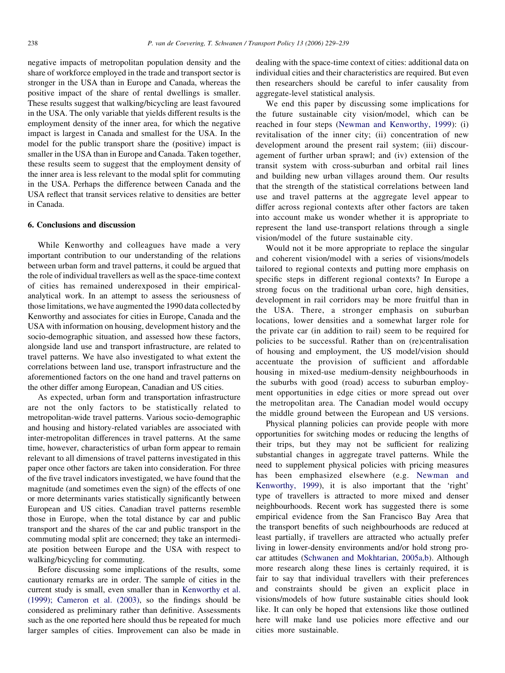negative impacts of metropolitan population density and the share of workforce employed in the trade and transport sector is stronger in the USA than in Europe and Canada, whereas the positive impact of the share of rental dwellings is smaller. These results suggest that walking/bicycling are least favoured in the USA. The only variable that yields different results is the employment density of the inner area, for which the negative impact is largest in Canada and smallest for the USA. In the model for the public transport share the (positive) impact is smaller in the USA than in Europe and Canada. Taken together, these results seem to suggest that the employment density of the inner area is less relevant to the modal split for commuting in the USA. Perhaps the difference between Canada and the USA reflect that transit services relative to densities are better in Canada.

## 6. Conclusions and discussion

While Kenworthy and colleagues have made a very important contribution to our understanding of the relations between urban form and travel patterns, it could be argued that the role of individual travellers as well as the space-time context of cities has remained underexposed in their empiricalanalytical work. In an attempt to assess the seriousness of those limitations, we have augmented the 1990 data collected by Kenworthy and associates for cities in Europe, Canada and the USA with information on housing, development history and the socio-demographic situation, and assessed how these factors, alongside land use and transport infrastructure, are related to travel patterns. We have also investigated to what extent the correlations between land use, transport infrastructure and the aforementioned factors on the one hand and travel patterns on the other differ among European, Canadian and US cities.

As expected, urban form and transportation infrastructure are not the only factors to be statistically related to metropolitan-wide travel patterns. Various socio-demographic and housing and history-related variables are associated with inter-metropolitan differences in travel patterns. At the same time, however, characteristics of urban form appear to remain relevant to all dimensions of travel patterns investigated in this paper once other factors are taken into consideration. For three of the five travel indicators investigated, we have found that the magnitude (and sometimes even the sign) of the effects of one or more determinants varies statistically significantly between European and US cities. Canadian travel patterns resemble those in Europe, when the total distance by car and public transport and the shares of the car and public transport in the commuting modal split are concerned; they take an intermediate position between Europe and the USA with respect to walking/bicycling for commuting.

Before discussing some implications of the results, some cautionary remarks are in order. The sample of cities in the current study is small, even smaller than in [Kenworthy et al.](#page-10-0) [\(1999\); Cameron et al. \(2003\)](#page-10-0), so the findings should be considered as preliminary rather than definitive. Assessments such as the one reported here should thus be repeated for much larger samples of cities. Improvement can also be made in dealing with the space-time context of cities: additional data on individual cities and their characteristics are required. But even then researchers should be careful to infer causality from aggregate-level statistical analysis.

We end this paper by discussing some implications for the future sustainable city vision/model, which can be reached in four steps ([Newman and Kenworthy, 1999\)](#page-10-0): (i) revitalisation of the inner city; (ii) concentration of new development around the present rail system; (iii) discouragement of further urban sprawl; and (iv) extension of the transit system with cross-suburban and orbital rail lines and building new urban villages around them. Our results that the strength of the statistical correlations between land use and travel patterns at the aggregate level appear to differ across regional contexts after other factors are taken into account make us wonder whether it is appropriate to represent the land use-transport relations through a single vision/model of the future sustainable city.

Would not it be more appropriate to replace the singular and coherent vision/model with a series of visions/models tailored to regional contexts and putting more emphasis on specific steps in different regional contexts? In Europe a strong focus on the traditional urban core, high densities, development in rail corridors may be more fruitful than in the USA. There, a stronger emphasis on suburban locations, lower densities and a somewhat larger role for the private car (in addition to rail) seem to be required for policies to be successful. Rather than on (re)centralisation of housing and employment, the US model/vision should accentuate the provision of sufficient and affordable housing in mixed-use medium-density neighbourhoods in the suburbs with good (road) access to suburban employment opportunities in edge cities or more spread out over the metropolitan area. The Canadian model would occupy the middle ground between the European and US versions.

Physical planning policies can provide people with more opportunities for switching modes or reducing the lengths of their trips, but they may not be sufficient for realizing substantial changes in aggregate travel patterns. While the need to supplement physical policies with pricing measures has been emphasized elsewhere (e.g. [Newman and](#page-10-0) [Kenworthy, 1999](#page-10-0)), it is also important that the 'right' type of travellers is attracted to more mixed and denser neighbourhoods. Recent work has suggested there is some empirical evidence from the San Francisco Bay Area that the transport benefits of such neighbourhoods are reduced at least partially, if travellers are attracted who actually prefer living in lower-density environments and/or hold strong procar attitudes [\(Schwanen and Mokhtarian, 2005a,b\)](#page-10-0). Although more research along these lines is certainly required, it is fair to say that individual travellers with their preferences and constraints should be given an explicit place in visions/models of how future sustainable cities should look like. It can only be hoped that extensions like those outlined here will make land use policies more effective and our cities more sustainable.